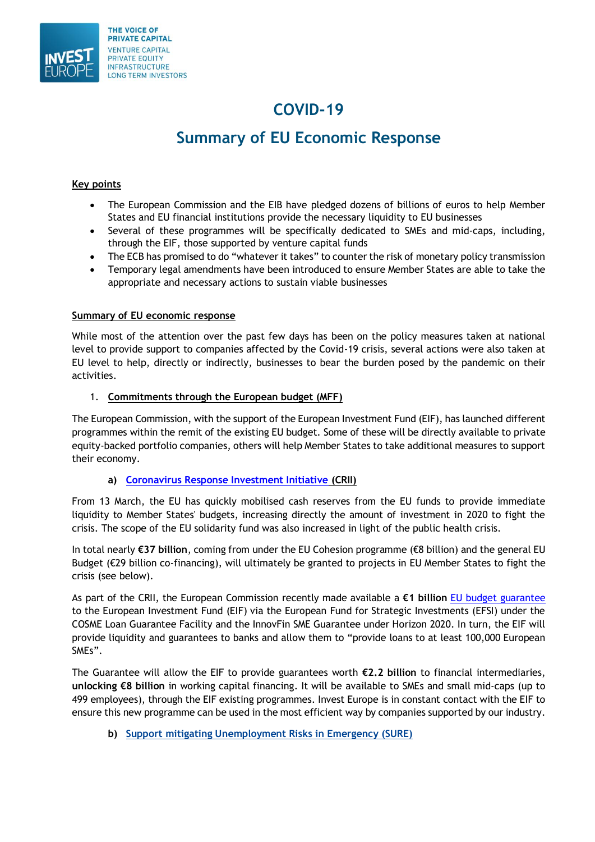

## **COVID-19**

# **Summary of EU Economic Response**

#### **Key points**

- The European Commission and the EIB have pledged dozens of billions of euros to help Member States and EU financial institutions provide the necessary liquidity to EU businesses
- Several of these programmes will be specifically dedicated to SMEs and mid-caps, including, through the EIF, those supported by venture capital funds
- The ECB has promised to do "whatever it takes" to counter the risk of monetary policy transmission
- Temporary legal amendments have been introduced to ensure Member States are able to take the appropriate and necessary actions to sustain viable businesses

#### **Summary of EU economic response**

While most of the attention over the past few days has been on the policy measures taken at national level to provide support to companies affected by the Covid-19 crisis, several actions were also taken at EU level to help, directly or indirectly, businesses to bear the burden posed by the pandemic on their activities.

#### 1. **Commitments through the European budget (MFF)**

The European Commission, with the support of the European Investment Fund (EIF), has launched different programmes within the remit of the existing EU budget. Some of these will be directly available to private equity-backed portfolio companies, others will help Member States to take additional measures to support their economy.

#### **a) [Coronavirus Response Investment Initiative](https://ec.europa.eu/regional_policy/en/newsroom/coronavirus-response/) (CRII)**

From 13 March, the EU has quickly mobilised cash reserves from the EU funds to provide immediate liquidity to Member States' budgets, increasing directly the amount of investment in 2020 to fight the crisis. The scope of the EU solidarity fund was also increased in light of the public health crisis.

In total nearly **€37 billion**, coming from under the EU Cohesion programme (€8 billion) and the general EU Budget (€29 billion co-financing), will ultimately be granted to projects in EU Member States to fight the crisis (see below).

As part of the CRII, the European Commission recently made available a **€1 billion** [EU budget guarantee](https://ec.europa.eu/commission/presscorner/detail/en/ip_20_569) to the European Investment Fund (EIF) via the European Fund for Strategic Investments (EFSI) under the COSME Loan Guarantee Facility and the InnovFin SME Guarantee under Horizon 2020. In turn, the EIF will provide liquidity and guarantees to banks and allow them to "provide loans to at least 100,000 European SMEs".

The Guarantee will allow the EIF to provide guarantees worth **€2.2 billion** to financial intermediaries, **unlocking €8 billion** in working capital financing. It will be available to SMEs and small mid-caps (up to 499 employees), through the EIF existing programmes. Invest Europe is in constant contact with the EIF to ensure this new programme can be used in the most efficient way by companies supported by our industry.

**b) [Support mitigating Unemployment Risks in Emergency \(SURE\)](https://ec.europa.eu/commission/presscorner/detail/en/IP_20_582)**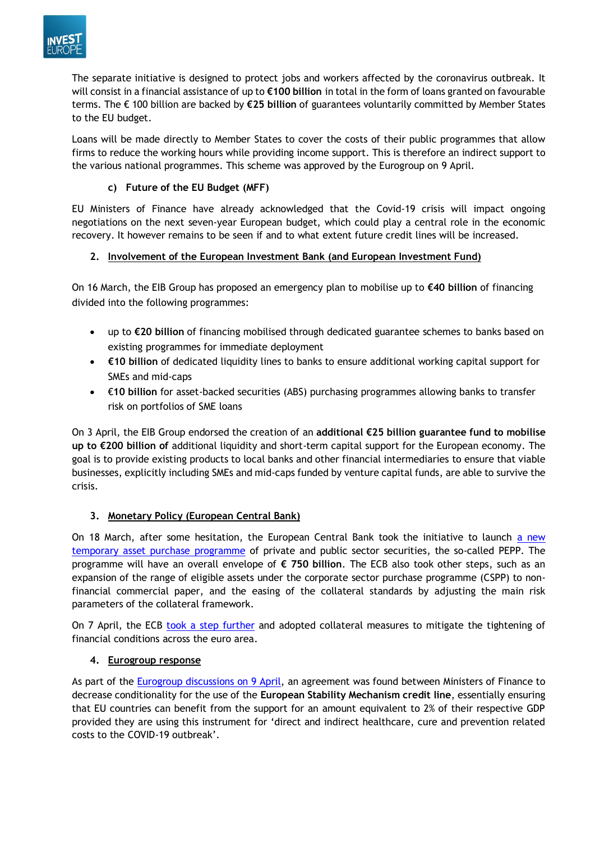

The separate initiative is designed to protect jobs and workers affected by the coronavirus outbreak. It will consist in a financial assistance of up to **€100 billion** in total in the form of loans granted on favourable terms. The € 100 billion are backed by **€25 billion** of guarantees voluntarily committed by Member States to the EU budget.

Loans will be made directly to Member States to cover the costs of their public programmes that allow firms to reduce the working hours while providing income support. This is therefore an indirect support to the various national programmes. This scheme was approved by the Eurogroup on 9 April.

## **c) Future of the EU Budget (MFF)**

EU Ministers of Finance have already acknowledged that the Covid-19 crisis will impact ongoing negotiations on the next seven-year European budget, which could play a central role in the economic recovery. It however remains to be seen if and to what extent future credit lines will be increased.

### **2. Involvement of the European Investment Bank (and European Investment Fund)**

On 16 March, the EIB Group has proposed an emergency plan to mobilise up to **€40 billion** of financing divided into the following programmes:

- up to **€20 billion** of financing mobilised through dedicated guarantee schemes to banks based on existing programmes for immediate deployment
- **€10 billion** of dedicated liquidity lines to banks to ensure additional working capital support for SMEs and mid-caps
- €**10 billion** for asset-backed securities (ABS) purchasing programmes allowing banks to transfer risk on portfolios of SME loans

On 3 April, the EIB Group endorsed the creation of an **additional €25 billion guarantee fund to mobilise up to €200 billion of** additional liquidity and short-term capital support for the European economy. The goal is to provide existing products to local banks and other financial intermediaries to ensure that viable businesses, explicitly including SMEs and mid-caps funded by venture capital funds, are able to survive the crisis.

## **3. Monetary Policy (European Central Bank)**

On 18 March, after some hesitation, the European Central Bank took the initiative to launch a new [temporary asset purchase programme](https://www.ecb.europa.eu/press/pr/date/2020/html/ecb.pr200318_1~3949d6f266.en.html) of private and public sector securities, the so-called PEPP. The programme will have an overall envelope of **€ 750 billion**. The ECB also took other steps, such as an expansion of the range of eligible assets under the corporate sector purchase programme (CSPP) to nonfinancial commercial paper, and the easing of the collateral standards by adjusting the main risk parameters of the collateral framework.

On 7 April, the ECB [took a step](https://www.ecb.europa.eu/press/pr/date/2020/html/ecb.pr200407~2472a8ccda.en.html) further and adopted collateral measures to mitigate the tightening of financial conditions across the euro area.

### **4. Eurogroup response**

As part of the [Eurogroup discussions on 9 April,](https://www.consilium.europa.eu/media/43300/200410_peg-centeno-letter-to-pec-michel_covid.pdf) an agreement was found between Ministers of Finance to decrease conditionality for the use of the **European Stability Mechanism credit line**, essentially ensuring that EU countries can benefit from the support for an amount equivalent to 2% of their respective GDP provided they are using this instrument for 'direct and indirect healthcare, cure and prevention related costs to the COVID-19 outbreak'.